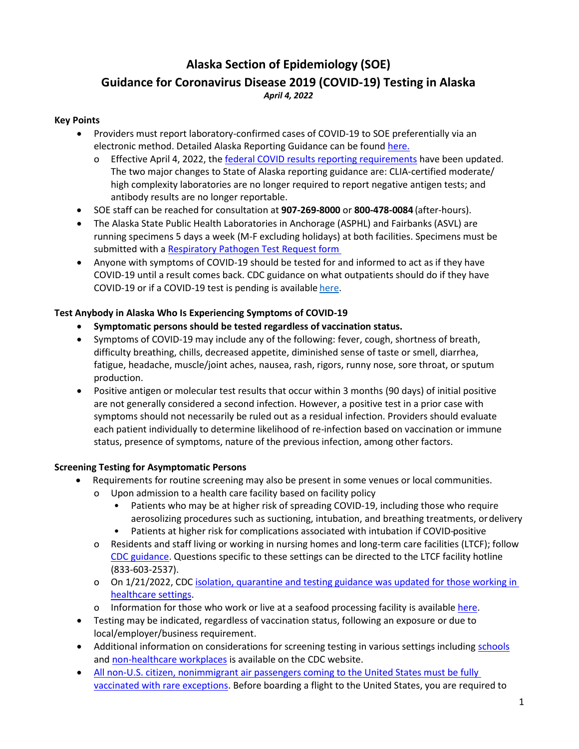## **Alaska Section of Epidemiology (SOE) Guidance for Coronavirus Disease 2019 (COVID-19) Testing in Alaska** *April 4, 2022*

### **Key Points**

- Providers must report laboratory-confirmed cases of COVID-19 to SOE preferentially via an electronic method. Detailed Alaska Reporting Guidance can be found [here.](https://dhss.alaska.gov/dph/Epi/id/siteassets/pages/humanCOV/AKCOVIDReportingGuidance.pdf)
	- o Effective April 4, 2022, the [federal COVID results reporting requirements](https://www.cdc.gov/coronavirus/2019-ncov/downloads/lab/HHS-Laboratory-Reporting-Guidance-508.pdf) have been updated. The two major changes to State of Alaska reporting guidance are: CLIA-certified moderate/ high complexity laboratories are no longer required to report negative antigen tests; and antibody results are no longer reportable.
- SOE staff can be reached for consultation at **907-269-8000** or **800-478-0084** (after-hours).
- The Alaska State Public Health Laboratories in Anchorage (ASPHL) and Fairbanks (ASVL) are running specimens 5 days a week (M-F excluding holidays) at both facilities. Specimens must be submitted with a [Respiratory Pathogen Test Request form](https://dhss.alaska.gov/dph/Labs/Documents/RespPathRequestForm.pdf)
- Anyone with symptoms of COVID-19 should be tested for and informed to act as if they have COVID-19 until a result comes back. CDC guidance on what outpatients should do if they have COVID-19 or if a COVID-19 test is pending is available [here.](https://www.cdc.gov/coronavirus/2019-ncov/if-you-are-sick/quarantine.html?CDC_AA_refVal=https%3A%2F%2Fwww.cdc.gov%2Fcoronavirus%2F2019-ncov%2Fif-you-are-sick%2Fisolation.html)

## **Test Anybody in Alaska Who Is Experiencing Symptoms of COVID-19**

- **Symptomatic persons should be tested regardless of vaccination status.**
- Symptoms of COVID-19 may include any of the following: fever, cough, shortness of breath, difficulty breathing, chills, decreased appetite, diminished sense of taste or smell, diarrhea, fatigue, headache, muscle/joint aches, nausea, rash, rigors, runny nose, sore throat, or sputum production.
- Positive antigen or molecular test results that occur within 3 months (90 days) of initial positive are not generally considered a second infection. However, a positive test in a prior case with symptoms should not necessarily be ruled out as a residual infection. Providers should evaluate each patient individually to determine likelihood of re-infection based on vaccination or immune status, presence of symptoms, nature of the previous infection, among other factors.

## **Screening Testing for Asymptomatic Persons**

- Requirements for routine screening may also be present in some venues or local communities.
	- o Upon admission to a health care facility based on facility policy
		- Patients who may be at higher risk of spreading COVID-19, including those who require aerosolizing procedures such as suctioning, intubation, and breathing treatments, ordelivery
		- Patients at higher risk for complications associated with intubation if COVID-positive
	- o Residents and staff living or working in nursing homes and long-term care facilities (LTCF); follow [CDC guidance.](https://www.cdc.gov/coronavirus/2019-ncov/hcp/nursing-home-long-term-care.html) Questions specific to these settings can be directed to the LTCF facility hotline (833-603-2537).
	- o On 1/21/2022, CD[C isolation, quarantine and testing guidance was](https://www.cdc.gov/coronavirus/2019-ncov/hcp/guidance-risk-assesment-hcp.html) updated for those working in [healthcare settings.](https://www.cdc.gov/coronavirus/2019-ncov/hcp/guidance-risk-assesment-hcp.html)
	- o Information for those who work or live at a seafood processing facility is available [here.](https://dhss.alaska.gov/dph/epi/id/siteassets/pages/HumanCoV/letter_Seafood_2022.pdf)
- Testing may be indicated, regardless of vaccination status, following an exposure or due to local/employer/business requirement.
- Additional information on considerations for screening testing in various settings includin[g schools](https://www.cdc.gov/coronavirus/2019-ncov/community/schools-childcare/k-12-guidance.html) an[d non-healthcare workplaces](https://www.cdc.gov/coronavirus/2019-ncov/community/organizations/testing-non-healthcare-workplaces.html) is available on the CDC website.
- [All non-U.S. citizen, nonimmigrant air passengers coming to the United States](https://www.cdc.gov/coronavirus/2019-ncov/travelers/proof-of-vaccination.html) must be fully [vaccinated with rare exceptions.](https://www.cdc.gov/coronavirus/2019-ncov/travelers/proof-of-vaccination.html) Before boarding a flight to the United States, you are required to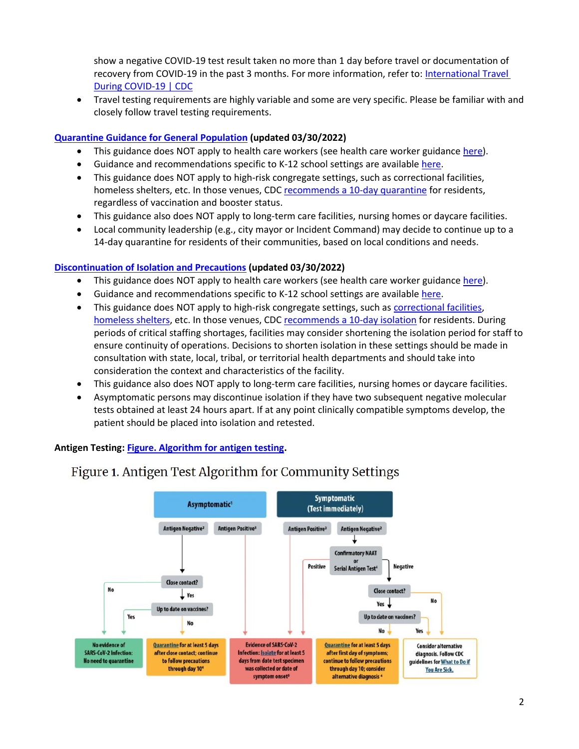show a negative COVID-19 test result taken no more than 1 day before travel or documentation of recovery from COVID-19 in the past 3 months. For more information, refer to[: International Travel](https://www.cdc.gov/coronavirus/2019-ncov/travelers/international-travel-during-covid19.html)  [During COVID-19 | CDC](https://www.cdc.gov/coronavirus/2019-ncov/travelers/international-travel-during-covid19.html)

• Travel testing requirements are highly variable and some are very specific. Please be familiar with and closely follow travel testing requirements.

## **[Quarantine Guidance for General Population](https://www.cdc.gov/coronavirus/2019-ncov/your-health/quarantine-isolation.html) (updated 03/30/2022)**

- This guidance does NOT apply to health care workers (see health care worker guidanc[e here\)](https://www.cdc.gov/coronavirus/2019-ncov/hcp/guidance-risk-assesment-hcp.html).
- Guidance and recommendations specific to K-12 school settings are available [here.](https://www.cdc.gov/coronavirus/2019-ncov/community/schools-childcare/k-12-guidance.html)
- This guidance does NOT apply to high-risk congregate settings, such as correctional facilities, homeless shelters, etc. In those venues, CDC recommends [a 10-day quarantine](https://www.cdc.gov/coronavirus/2019-ncov/your-health/quarantine-isolation.html#Quarantine in high-risk congregate settings) for residents, regardless of vaccination and booster status.
- This guidance also does NOT apply to long-term care facilities, nursing homes or daycare facilities.
- Local community leadership (e.g., city mayor or Incident Command) may decide to continue up to a 14-day quarantine for residents of their communities, based on local conditions and needs.

## **[Discontinuation of Isolation and Precautions](https://www.cdc.gov/coronavirus/2019-ncov/your-health/quarantine-isolation.html) (updated 03/30/2022)**

- This guidance does NOT apply to health care workers (see health care worker guidanc[e here\)](https://www.cdc.gov/coronavirus/2019-ncov/hcp/guidance-risk-assesment-hcp.html).
- Guidance and recommendations specific to K-12 school settings are available [here.](https://www.cdc.gov/coronavirus/2019-ncov/community/schools-childcare/k-12-guidance.html)
- This guidance does NOT apply to high-risk congregate settings, such as [correctional facilities,](https://www.cdc.gov/coronavirus/2019-ncov/community/correction-detention/index.html) [homeless shelters,](https://www.cdc.gov/coronavirus/2019-ncov/community/homeless-shelters/index.html) etc. In those venues, CDC recommends [a 10-day isolation](https://www.cdc.gov/coronavirus/2019-ncov/your-health/quarantine-isolation.html#Quarantine in high-risk congregate settings) for residents. During periods of critical staffing shortages, facilities may consider shortening the isolation period for staff to ensure continuity of operations. Decisions to shorten isolation in these settings should be made in consultation with state, local, tribal, or territorial health departments and should take into consideration the context and characteristics of the facility.
- This guidance also does NOT apply to long-term care facilities, nursing homes or daycare facilities.
- Asymptomatic persons may discontinue isolation if they have two subsequent negative molecular tests obtained at least 24 hours apart. If at any point clinically compatible symptoms develop, the patient should be placed into isolation and retested.

**Antigen Testing[: Figure. Algorithm for antigen testing.](https://www.cdc.gov/coronavirus/2019-ncov/lab/resources/antigen-tests-guidelines.html)**



# Figure 1. Antigen Test Algorithm for Community Settings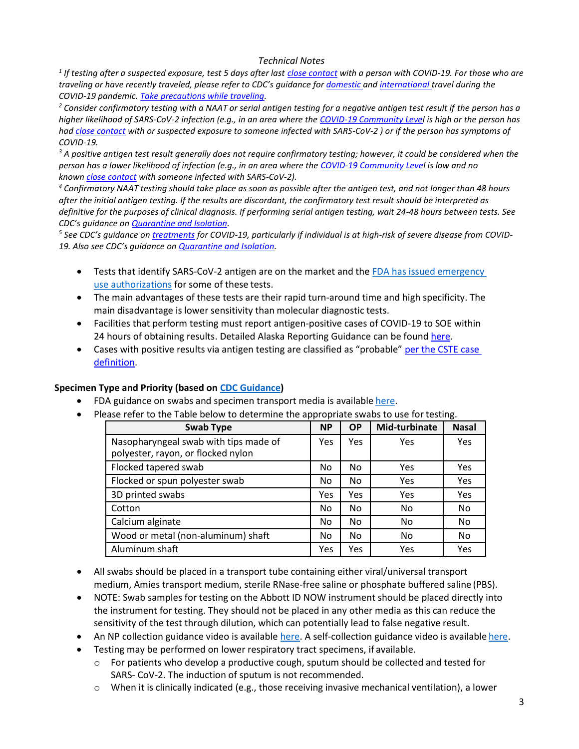#### *Technical Notes*

*1 If testing after a suspected exposure, test 5 days after last [close contact](https://www.cdc.gov/coronavirus/2019-ncov/php/contact-tracing/contact-tracing-plan/appendix.html#contact) with a person with COVID-19. For those who are traveling or have recently traveled, please refer to CDC's guidance for [domestic](https://www.cdc.gov/coronavirus/2019-ncov/travelers/travel-during-covid19.html) and [international](https://www.cdc.gov/coronavirus/2019-ncov/travelers/international-travel/index.html) travel during the COVID-19 pandemic. [Take precautions while traveling.](https://www.cdc.gov/coronavirus/2019-ncov/travelers/index.html#do-not-travel)*

*<sup>2</sup> Consider confirmatory testing with a NAAT or serial antigen testing for a negative antigen test result if the person has a higher likelihood of SARS-CoV-2 infection (e.g., in an area where the [COVID-19 Community Level](https://www.cdc.gov/coronavirus/2019-ncov/science/community-levels.html) is high or the person has had [close contact](https://www.cdc.gov/coronavirus/2019-ncov/php/contact-tracing/contact-tracing-plan/appendix.html#contact) with or suspected exposure to someone infected with SARS-CoV-2 ) or if the person has symptoms of COVID-19.*

*<sup>3</sup> A positive antigen test result generally does not require confirmatory testing; however, it could be considered when the person has a lower likelihood of infection (e.g., in an area where the COVID-19 [Community Level](https://www.cdc.gov/coronavirus/2019-ncov/science/community-levels.html) is low and no known [close contact](https://www.cdc.gov/coronavirus/2019-ncov/php/contact-tracing/contact-tracing-plan/appendix.html#contact) with someone infected with SARS-CoV-2).*

*<sup>4</sup> Confirmatory NAAT testing should take place as soon as possible after the antigen test, and not longer than 48 hours after the initial antigen testing. If the results are discordant, the confirmatory test result should be interpreted as definitive for the purposes of clinical diagnosis. If performing serial antigen testing, wait 24-48 hours between tests. See CDC's guidance on [Quarantine and Isolation.](https://www.cdc.gov/coronavirus/2019-ncov/your-health/quarantine-isolation.html)*

*5 See CDC's guidance on [treatments](https://www.cdc.gov/coronavirus/2019-ncov/your-health/treatments-for-severe-illness.html) for COVID-19, particularly if individual is at high-risk of severe disease from COVID-19. Also see CDC's guidance on [Quarantine and Isolation.](https://www.cdc.gov/coronavirus/2019-ncov/your-health/quarantine-isolation.html)*

- Tests that identify SARS-CoV-2 antigen are on the market and the FDA has issued emergency [use](https://www.fda.gov/medical-devices/coronavirus-disease-2019-covid-19-emergency-use-authorizations-medical-devices/vitro-diagnostics-euas) [authorizations](https://www.fda.gov/medical-devices/coronavirus-disease-2019-covid-19-emergency-use-authorizations-medical-devices/vitro-diagnostics-euas) for some of these tests.
- The main advantages of these tests are their rapid turn-around time and high specificity. The main disadvantage is lower sensitivity than molecular diagnostic tests.
- Facilities that perform testing must report antigen-positive cases of COVID-19 to SOE within 24 hours of obtaining results. Detailed Alaska Reporting Guidance can be foun[d here.](https://dhss.alaska.gov/dph/Epi/id/siteassets/pages/humanCOV/AKCOVIDReportingGuidance.pdf)
- Cases with positive results via antigen testing are classified as "probable" per the CSTE case [definition.](https://ndc.services.cdc.gov/case-definitions/coronavirus-disease-2019-2021)

#### **Specimen Type and Priority (based o[n CDC Guidance\)](https://www.cdc.gov/coronavirus/2019-ncov/lab/guidelines-clinical-specimens.html)**

- FDA guidance on swabs and specimen transport media is available [here.](https://www.fda.gov/medical-devices/emergency-situations-medical-devices/faqs-diagnostic-testing-sars-cov-2#troubleobtainingviraltransport)
- Please refer to the Table below to determine the appropriate swabs to use for testing.

| <b>Swab Type</b>                                                            | <b>NP</b> | <b>OP</b> | Mid-turbinate | <b>Nasal</b> |
|-----------------------------------------------------------------------------|-----------|-----------|---------------|--------------|
| Nasopharyngeal swab with tips made of<br>polyester, rayon, or flocked nylon | Yes       | Yes       | Yes           | Yes          |
| Flocked tapered swab                                                        | No        | No.       | Yes           | Yes          |
| Flocked or spun polyester swab                                              | No        | No        | Yes           | Yes          |
| 3D printed swabs                                                            | Yes       | Yes       | Yes           | Yes          |
| Cotton                                                                      | No        | No.       | No            | No           |
| Calcium alginate                                                            | No        | No.       | No            | No.          |
| Wood or metal (non-aluminum) shaft                                          | No.       | No.       | No            | No           |
| Aluminum shaft                                                              | Yes       | Yes       | Yes           | Yes          |

- All swabs should be placed in a transport tube containing either viral/universal transport medium, Amies transport medium, sterile RNase-free saline or phosphate buffered saline (PBS).
- NOTE: Swab samples for testing on the Abbott ID NOW instrument should be placed directly into the instrument for testing. They should not be placed in any other media as this can reduce the sensitivity of the test through dilution, which can potentially lead to false negative result.
- An NP collection guidance video is available [here. A](https://www.nejm.org/doi/full/10.1056/NEJMvcm2010260?query=RP) self-collection guidance video is available [here.](https://www.youtube.com/watch?v=vsQVxsQY3jc&feature=youtu.be)
- Testing may be performed on lower respiratory tract specimens, if available.
	- $\circ$  For patients who develop a productive cough, sputum should be collected and tested for SARS- CoV-2. The induction of sputum is not recommended.
	- $\circ$  When it is clinically indicated (e.g., those receiving invasive mechanical ventilation), a lower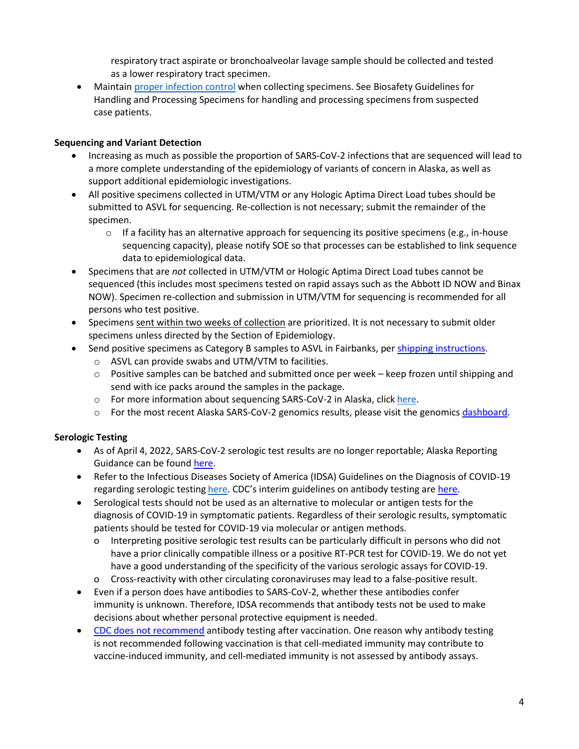respiratory tract aspirate or bronchoalveolar lavage sample should be collected and tested as a lower respiratory tract specimen.

• Maintain [proper infection control](https://www.cdc.gov/coronavirus/2019-ncov/hcp/infection-control-recommendations.html?CDC_AA_refVal=https%3A%2F%2Fwww.cdc.gov%2Fcoronavirus%2F2019-ncov%2Finfection-control%2Fcontrol-recommendations.html) when collecting specimens. See [Biosafety Guidelines for](https://www.cdc.gov/coronavirus/2019-nCoV/lab/lab-biosafety-guidelines.html)  [Handling and Processing Specimens f](https://www.cdc.gov/coronavirus/2019-nCoV/lab/lab-biosafety-guidelines.html)or handling and processing specimens from suspected case patients.

## **Sequencing and Variant Detection**

- Increasing as much as possible the proportion of SARS-CoV-2 infections that are sequenced will lead to a more complete understanding of the epidemiology of variants of concern in Alaska, as well as support additional epidemiologic investigations.
- All positive specimens collected in UTM/VTM or any Hologic Aptima Direct Load tubes should be submitted to ASVL for sequencing. Re-collection is not necessary; submit the remainder of the specimen.
	- $\circ$  If a facility has an alternative approach for sequencing its positive specimens (e.g., in-house sequencing capacity), please notify SOE so that processes can be established to link sequence data to epidemiological data.
- Specimens that are *not* collected in UTM/VTM or Hologic Aptima Direct Load tubes cannot be sequenced (this includes most specimens tested on rapid assays such as the Abbott ID NOW and Binax NOW). Specimen re-collection and submission in UTM/VTM for sequencing is recommended for all persons who test positive.
- Specimens sent within two weeks of collection are prioritized. It is not necessary to submit older specimens unless directed by the Section of Epidemiology.
- Send positive specimens as Category B samples to ASVL in Fairbanks, per [shipping instructions.](http://dhss.alaska.gov/dph/Labs/Documents/LaboratoryTests.pdf#page=23)
	- o ASVL can provide swabs and UTM/VTM to facilities.
	- $\circ$  Positive samples can be batched and submitted once per week keep frozen until shipping and send with ice packs around the samples in the package.
	- o For more information about sequencing SARS-CoV-2 in Alaska, click [here.](http://dhss.alaska.gov/dph/labs/documents/COVID_NGS_infographic.pdf)
	- $\circ$  For the most recent Alaska SARS-CoV-2 genomics results, please visit the genomics [dashboard.](https://akvariants.github.io/)

## **Serologic Testing**

- As of April 4, 2022, SARS-CoV-2 serologic test results are no longer reportable; Alaska Reporting Guidance can be found [here.](https://dhss.alaska.gov/dph/Epi/id/siteassets/pages/humanCOV/AKCOVIDReportingGuidance.pdf)
- Refer to the Infectious Diseases Society of America (IDSA) Guidelines on the Diagnosis of COVID-19 regarding serologic testing [here.](https://www.idsociety.org/practice-guideline/covid-19-guideline-serology/#Table1a) CDC's interim guidelines on antibody testing are [here.](https://www.cdc.gov/coronavirus/2019-ncov/lab/resources/antibody-tests-guidelines.html)
- Serological tests should not be used as an alternative to molecular or antigen tests for the diagnosis of COVID-19 in symptomatic patients. Regardless of their serologic results, symptomatic patients should be tested for COVID-19 via molecular or antigen methods.
	- o Interpreting positive serologic test results can be particularly difficult in persons who did not have a prior clinically compatible illness or a positive RT-PCR test for COVID-19. We do not yet have a good understanding of the specificity of the various serologic assays for COVID-19.
	- o Cross-reactivity with other circulating coronaviruses may lead to a false-positive result.
- Even if a person does have antibodies to SARS-CoV-2, whether these antibodies confer immunity is unknown. Therefore, IDSA recommends that antibody tests not be used to make decisions about whether personal protective equipment is needed.
- [CDC does not](https://www.cdc.gov/vaccines/covid-19/clinical-considerations/covid-19-vaccines-us.html?CDC_AA_refVal=https%3A%2F%2Fwww.cdc.gov%2Fvaccines%2Fcovid-19%2Finfo-by-product%2Fclinical-considerations.html) recommend antibody testing after vaccination. One reason why antibody testing is not recommended following vaccination is that cell-mediated immunity may contribute to vaccine-induced immunity, and cell-mediated immunity is not assessed by antibody assays.